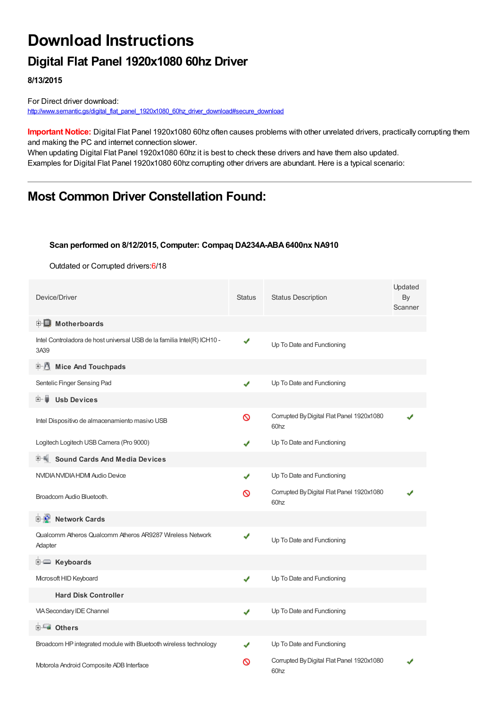# **Download Instructions**

### **Digital Flat Panel 1920x1080 60hz Driver**

**8/13/2015**

For Direct driver download: [http://www.semantic.gs/digital\\_flat\\_panel\\_1920x1080\\_60hz\\_driver\\_download#secure\\_download](http://www.semantic.gs/digital_flat_panel_1920x1080_60hz_driver_download#secure_download)

**Important Notice:** Digital Flat Panel 1920x1080 60hz often causes problems with other unrelated drivers, practically corrupting them and making the PC and internet connection slower.

When updating Digital Flat Panel 1920x1080 60hz it is best to check these drivers and have them also updated. Examples for Digital Flat Panel 1920x1080 60hz corrupting other drivers are abundant. Here is a typical scenario:

### **Most Common Driver Constellation Found:**

#### **Scan performed on 8/12/2015, Computer: Compaq DA234A-ABA6400nx NA910**

Outdated or Corrupted drivers:6/18

| Device/Driver                                                                   | <b>Status</b> | <b>Status Description</b>                                     | Updated<br>By<br>Scanner |  |
|---------------------------------------------------------------------------------|---------------|---------------------------------------------------------------|--------------------------|--|
| <b>E</b> Motherboards                                                           |               |                                                               |                          |  |
| Intel Controladora de host universal USB de la familia Intel(R) ICH10 -<br>3A39 | ✔             | Up To Date and Functioning                                    |                          |  |
| 中心<br><b>Mice And Touchpads</b>                                                 |               |                                                               |                          |  |
| Sentelic Finger Sensing Pad                                                     | ✔             | Up To Date and Functioning                                    |                          |  |
| <b>Usb Devices</b><br>田…自                                                       |               |                                                               |                          |  |
| Intel Dispositivo de almacenamiento masivo USB                                  | Ø             | Corrupted By Digital Flat Panel 1920x1080<br>60 <sub>hz</sub> |                          |  |
| Logitech Logitech USB Camera (Pro 9000)                                         |               | Up To Date and Functioning                                    |                          |  |
| <b>Sound Cards And Media Devices</b>                                            |               |                                                               |                          |  |
| NVIDIA NVIDIA HDMI Audio Device                                                 |               | Up To Date and Functioning                                    |                          |  |
| Broadcom Audio Bluetooth.                                                       | ଷ             | Corrupted By Digital Flat Panel 1920x1080<br>60 <sub>hz</sub> |                          |  |
| <b>D</b> Network Cards                                                          |               |                                                               |                          |  |
| Qualcomm Atheros Qualcomm Atheros AR9287 Wireless Network<br>Adapter            | ✔             | Up To Date and Functioning                                    |                          |  |
| <b>E</b> Keyboards                                                              |               |                                                               |                          |  |
| Microsoft HID Keyboard                                                          | ✔             | Up To Date and Functioning                                    |                          |  |
| <b>Hard Disk Controller</b>                                                     |               |                                                               |                          |  |
| VIA Secondary IDE Channel                                                       | ✔             | Up To Date and Functioning                                    |                          |  |
| <b>E</b> Others                                                                 |               |                                                               |                          |  |
| Broadcom HP integrated module with Bluetooth wireless technology                |               | Up To Date and Functioning                                    |                          |  |
| Motorola Android Composite ADB Interface                                        | ര             | Corrupted By Digital Flat Panel 1920x1080<br>60hz             |                          |  |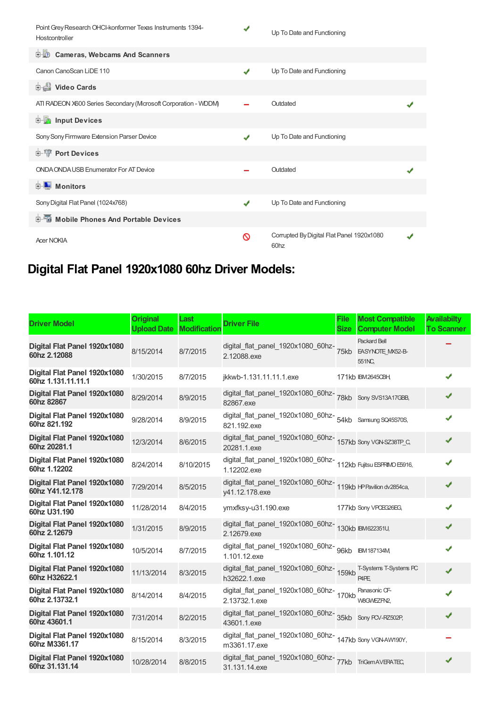| Point Grey Research OHCI-konformer Texas Instruments 1394-<br>Hostcontroller | ✔ | Up To Date and Functioning                                    |  |
|------------------------------------------------------------------------------|---|---------------------------------------------------------------|--|
| <b>D</b> Cameras, Webcams And Scanners                                       |   |                                                               |  |
| Canon CanoScan LiDE 110                                                      | J | Up To Date and Functioning                                    |  |
| Video Cards                                                                  |   |                                                               |  |
| ATI RADEON X600 Series Secondary (Mcrosoft Corporation - WDDM)               |   | Outdated                                                      |  |
| <b>E</b> Input Devices                                                       |   |                                                               |  |
| Sony Sony Firmware Extension Parser Device                                   |   | Up To Date and Functioning                                    |  |
| <b>E-T</b> Port Devices                                                      |   |                                                               |  |
| <b>ONDA ONDA USB Enumerator For AT Device</b>                                |   | Outdated                                                      |  |
| <b>D</b> Monitors                                                            |   |                                                               |  |
| Sony Digital Flat Panel (1024x768)                                           | ✔ | Up To Date and Functioning                                    |  |
| <b>E-6</b> Mobile Phones And Portable Devices                                |   |                                                               |  |
| <b>Acer NOKIA</b>                                                            | ര | Corrupted By Digital Flat Panel 1920x1080<br>60 <sub>hz</sub> |  |

## **Digital Flat Panel 1920x1080 60hz Driver Models:**

| <b>Driver Model</b>                                | <b>Original</b><br><b>Upload Date</b> | Last<br><b>Modification</b> | <b>Driver File</b>                                                                 | <b>File</b><br><b>Size</b> | <b>Most Compatible</b><br><b>Computer Model</b>          | <b>Availabilty</b><br><b>To Scanner</b> |
|----------------------------------------------------|---------------------------------------|-----------------------------|------------------------------------------------------------------------------------|----------------------------|----------------------------------------------------------|-----------------------------------------|
| Digital Flat Panel 1920x1080<br>60hz 2.12088       | 8/15/2014                             | 8/7/2015                    | digital_flat_panel_1920x1080_60hz-<br>2.12088.exe                                  | 75kb                       | <b>Packard Bell</b><br><b>EASYNOTE MX52-B-</b><br>551NC, |                                         |
| Digital Flat Panel 1920x1080<br>60hz 1.131.11.11.1 | 1/30/2015                             | 8/7/2015                    | jkkwb-1.131.11.11.1.exe                                                            |                            | 171kb IBM26450BH,                                        |                                         |
| Digital Flat Panel 1920x1080<br>60hz 82867         | 8/29/2014                             | 8/9/2015                    | digital_flat_panel_1920x1080_60hz-<br>78kb Sony SVS13A17GBB,<br>82867.exe          |                            |                                                          |                                         |
| Digital Flat Panel 1920x1080<br>60hz 821.192       | 9/28/2014                             | 8/9/2015                    | digital_flat_panel_1920x1080_60hz-<br>54kb Samsung SQ45S70S,<br>821.192.exe        |                            |                                                          |                                         |
| Digital Flat Panel 1920x1080<br>60hz 20281.1       | 12/3/2014                             | 8/6/2015                    | digital_flat_panel_1920x1080_60hz-<br>157kb Sony VGN-SZ38TP_C,<br>20281.1.exe      |                            |                                                          | ✔                                       |
| Digital Flat Panel 1920x1080<br>60hz 1.12202       | 8/24/2014                             | 8/10/2015                   | digital_flat_panel_1920x1080_60hz-<br>112kb Fujitsu ESPRIMO E5916,<br>1.12202.exe  |                            |                                                          |                                         |
| Digital Flat Panel 1920x1080<br>60hz Y41.12.178    | 7/29/2014                             | 8/5/2015                    | digital_flat_panel_1920x1080_60hz-<br>119kb HPPavilion dv2854ca,<br>y41.12.178.exe |                            |                                                          | ✔                                       |
| Digital Flat Panel 1920x1080<br>60hz U31.190       | 11/28/2014                            | 8/4/2015                    | ymxfksy-u31.190.exe                                                                |                            | 177kb Sony VPOEG26EG,                                    | ✔                                       |
| Digital Flat Panel 1920x1080<br>60hz 2.12679       | 1/31/2015                             | 8/9/2015                    | digital_flat_panel_1920x1080_60hz-130kb IBM622351U,<br>2.12679.exe                 |                            |                                                          | ✔                                       |
| Digital Flat Panel 1920x1080<br>60hz 1.101.12      | 10/5/2014                             | 8/7/2015                    | digital_flat_panel_1920x1080_60hz-<br>96kb IBM187134M<br>1.101.12.exe              |                            |                                                          |                                         |
| Digital Flat Panel 1920x1080<br>60hz H32622.1      | 11/13/2014                            | 8/3/2015                    | digital_flat_panel_1920x1080_60hz-159kb<br>h32622.1.exe                            |                            | T-Systems T-Systems PC<br>P <sub>4</sub> P <sub>E</sub>  |                                         |
| Digital Flat Panel 1920x1080<br>60hz 2.13732.1     | 8/14/2014                             | 8/4/2015                    | digital_flat_panel_1920x1080_60hz-170kb<br>2.13732.1.exe                           |                            | Panasonic CF-<br>W8GWEZFN2,                              |                                         |
| Digital Flat Panel 1920x1080<br>60hz 43601.1       | 7/31/2014                             | 8/2/2015                    | digital_flat_panel_1920x1080_60hz-<br>35kb Sony PCV-RZ502P,<br>43601.1.exe         |                            |                                                          |                                         |
| Digital Flat Panel 1920x1080<br>60hz M3361.17      | 8/15/2014                             | 8/3/2015                    | digital_flat_panel_1920x1080_60hz-<br>147kb Sony VGN-AW190Y,<br>m3361.17.exe       |                            |                                                          |                                         |
| Digital Flat Panel 1920x1080<br>60hz 31.131.14     | 10/28/2014                            | 8/8/2015                    | digital_flat_panel_1920x1080_60hz-<br>77kb TriGemAVERATEC,<br>31.131.14.exe        |                            |                                                          |                                         |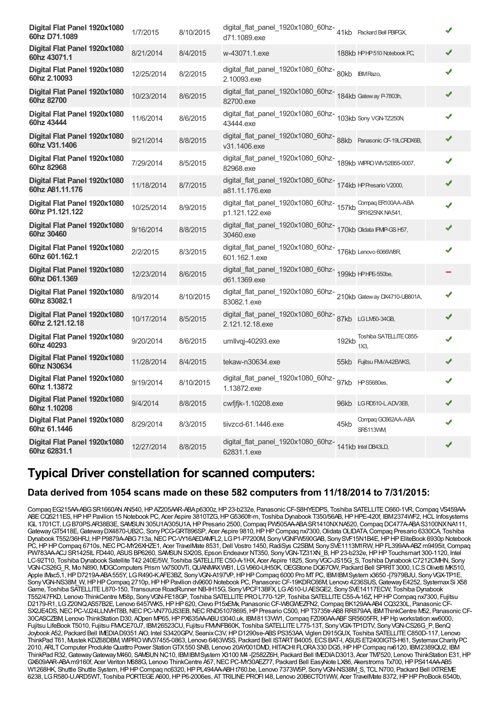| Digital Flat Panel 1920x1080<br>60hz D71.1089    | 1/7/2015   | 8/10/2015 | digital_flat_panel_1920x1080_60hz-41kb Packard Bell PBIPGX,<br>d71.1089.exe           |       |                                       |   |  |
|--------------------------------------------------|------------|-----------|---------------------------------------------------------------------------------------|-------|---------------------------------------|---|--|
| Digital Flat Panel 1920x1080<br>60hz 43071.1     | 8/21/2014  | 8/4/2015  | w-43071.1.exe                                                                         |       | 188kb HPHP510 Notebook PC,            | ✔ |  |
| Digital Flat Panel 1920x1080<br>60hz 2.10093     | 12/25/2014 | 8/2/2015  | digital_flat_panel_1920x1080_60hz-80kb IBMRazo,<br>2.10093.exe                        |       |                                       | ✔ |  |
| Digital Flat Panel 1920x1080<br>60hz 82700       | 10/23/2014 | 8/6/2015  | digital_flat_panel_1920x1080_60hz-<br>184kb Gateway P-7803h,<br>82700.exe             |       |                                       | ✔ |  |
| Digital Flat Panel 1920x1080<br>60hz 43444       | 11/6/2014  | 8/6/2015  | digital_flat_panel_1920x1080_60hz-<br>103kb Sony VGN-TZ250N<br>43444.exe              |       |                                       | J |  |
| Digital Flat Panel 1920x1080<br>60hz V31.1406    | 9/21/2014  | 8/8/2015  | digital_flat_panel_1920x1080_60hz-<br>88kb    Panasonic CF-19LCRDX6B,<br>v31.1406.exe |       |                                       | ✔ |  |
| Digital Flat Panel 1920x1080<br>60hz 82968       | 7/29/2014  | 8/5/2015  | digital_flat_panel_1920x1080_60hz-<br>189kb WFROWV52B55-0007,<br>82968.exe            |       |                                       | J |  |
| Digital Flat Panel 1920x1080<br>60hz A81.11.176  | 11/18/2014 | 8/7/2015  | digital_flat_panel_1920x1080_60hz-174kb HPResario V2000,<br>a81.11.176.exe            |       |                                       | ✔ |  |
| Digital Flat Panel 1920x1080<br>60hz P1.121.122  | 10/25/2014 | 8/9/2015  | do<br>digital_flat_panel_1920x1080_60hz-<br>157kb SR1625NXN4541,                      |       | Compaq ER100AA-ABA                    | ✔ |  |
| Digital Flat Panel 1920x1080<br>60hz 30460       | 9/16/2014  | 8/8/2015  | digital_flat_panel_1920x1080_60hz-<br>170kb Olidata IPMP-GSH57,<br>30460.exe          |       |                                       | ✔ |  |
| Digital Flat Panel 1920x1080<br>60hz 601.162.1   | 2/2/2015   | 8/3/2015  | digital_flat_panel_1920x1080_60hz-<br>176kb Lenovo 6066W8R<br>601.162.1.exe           |       |                                       | ✔ |  |
| Digital Flat Panel 1920x1080<br>60hz D61.1369    | 12/23/2014 | 8/6/2015  | digital_flat_panel_1920x1080_60hz-<br>199kb HPHPE-550be,<br>d61.1369.exe              |       |                                       |   |  |
| Digital Flat Panel 1920x1080<br>60hz 83082.1     | 8/9/2014   | 8/10/2015 | digital_flat_panel_1920x1080_60hz-<br>210kb Gateway DX4710-UB801A,<br>83082.1.exe     |       |                                       | J |  |
| Digital Flat Panel 1920x1080<br>60hz 2.121.12.18 | 10/17/2014 | 8/5/2015  | digital_flat_panel_1920x1080_60hz-<br>87kb LGLM50-34GB,<br>2.121.12.18.exe            |       |                                       | ✔ |  |
| Digital Flat Panel 1920x1080<br>60hz 40293       | 9/20/2014  | 8/6/2015  | umllvgj-40293.exe                                                                     | 192kb | Toshiba SATELLITE C855-<br>1X3.       | ✔ |  |
| Digital Flat Panel 1920x1080<br>60hz N30634      | 11/28/2014 | 8/4/2015  | tekaw-n30634.exe                                                                      |       | 55kb Fujitsu FMVA42EWKS,              | ✔ |  |
| Digital Flat Panel 1920x1080<br>60hz 1.13872     | 9/19/2014  | 8/10/2015 | digital_flat_panel_1920x1080_60hz-g7kb HPS5680es,<br>1.13872.exe                      |       |                                       | J |  |
| Digital Flat Panel 1920x1080<br>60hz 1.10208     | 9/4/2014   | 8/8/2015  | cwfjfjk-1.10208.exe                                                                   |       | 96kb LG RD510-L.ADV3E8,               | ✔ |  |
| Digital Flat Panel 1920x1080<br>60hz 61.1446     | 8/29/2014  | 8/3/2015  | tiivzcd-61.1446.exe                                                                   | 45kb  | Compaq GO662AA-ABA<br><b>SR5113VM</b> | J |  |
| Digital Flat Panel 1920x1080<br>60hz 62831.1     | 12/27/2014 | 8/8/2015  | digital_flat_panel_1920x1080_60hz-<br>141kb Intel DB43LD,<br>62831.1.exe              |       |                                       | ✔ |  |

### **Typical Driver constellation for scanned computers:**

#### **Data derived from 1054 scans made on these 582 computers from 11/18/2014 to 7/31/2015:**

Compaq EG215AA-ABG SR1660AN AN540, HP AZ205AAR-ABA p6300z, HP 23-b232e, Panasonic CF-S8HYEDPS, Toshiba SATELLITE C660-1VR, Compaq VS459AA-ABECQ5211ES,HPHPPavilion 15 Notebook PC, Acer Aspire 3810TZG,HPG5360fr-m, Toshiba Dynabook T350/56AB,HPHPE-420f, IBM2374WF2,HCL Infosystems IGL 1701CT, LGB70PS.AR38B3E, SAMSUN305U1A/305U1A,HPPresario 2500,Compaq PW505AA-ABASR1410NXNA520,Compaq DC477A-ABAS3100NXNA111, Gateway GT5418E, Gateway DX4870-UB2C, Sony PCG-GRT896SP, Acer Aspire 9810, HP HP Compaq nx7300, Olidata OLIDATA, Compaq Presario 6330CA, Toshiba Dynabook T552/36HRJ, HP P9879A-ABG 713a, NEC PC-VY16AEDAWFL2, LG P1-P7200M, Sony VGNFW590GAB, Sony SVF15N1B4E, HP HP EliteBook 6930p Notebook PC, HP HP Compaq 6710s, NEC PC-MY26XHZE1, Acer TravelMate 8531, Dell Vostro 1450, RadiSys C2SBM, Sony SVE1113M1RW, HP FL399AA-ABZ m9495it, Compaq PW783AA-ACJ SR1425IL FD440, ASUS BP6260, SAMSUN SX20S, Epson Endeavor NT350, Sony VGN-TZ31XN\_B, HP 23-b232e, HP HP Touchsmart 300-1120, Intel LC-92T10, Toshiba Dynabook Satellite T42 240E/5W, Toshiba SATELLITE C50-A-1HX, Acer Aspire 1825, Sony VGC-JS15G\_S, Toshiba Dynabook C7212CMHN, Sony VGN-CS26G\_R, Mio N890, MDGComputers Prism Vx7500VTi,QUANMAXWB1, LGV960-UH50K,OEGStone DQ67OW, Packard Bell SPIRIT3000, I.C.SOlivetti MK510, Apple IMac5, 1, HP D7219A-ABA 555Y, LG R490-K.AFE3BZ, Sony VGN-A197VP, HP HP Compaq 6000 Pro MT PC, IBMIBM System x3650 -[7979BJU, Sony VGX-TP1E, Sony VGN-NS38M\_W, HP HP Compaq 2710p, HP HP Pavilion dv9600 Notebook PC, Panasonic CF-19KDRC66M, Lenovo 4236SUS, Gateway E4252, Systemax Si X58 Game, Toshiba SATELLITEL870-150, Transource RoadRunner NB-IH15G, SonyVPCF13BFX, LGA510-U.AESGE2, SonySVE14117ECW, Toshiba Dynabook T552/47FKD, Lenovo ThinkCentre M58p, SonyVGN-FE18GP, Toshiba SATELLITEPROL770-12P, Toshiba SATELLITEC55-A-16Z,HPHPCompaq nx7300, Fujitsu D2179-R1, LG Z20NQ.AS57B2E, Lenovo 6457WK5, HP HP 620, Clevo P15xEMx, Panasonic CF-W8GWEZFN2, Compaq BK129AA-AB4 CQ3230L, Panasonic CF-SX2JE4DS, NEC PC-VJ24LLNVHT8B, NEC PC-VN770JS3EB, NEC RND51078695, HP Presario C500, HP T3735tr-AB8 RR879AA, IBM ThinkCentre M52, Panasonic CF-30CASCZBM, Lenovo ThinkStation D30, AOpen MP65, HP PX635AA-ABU t3040.uk, IBM8113VW1, Compaq FZ090AA-ABF SR5605FR, HP Hp workstation xw6000, Fujitsu LifeBook T5010, Fujitsu FMVCE70J7, IBM26523CU, Fujitsu FMVNFB60K, Toshiba SATELLITEL775-13T, SonyVGX-TP1DTV, SonyVGN-CS26G\_P, BenQ Joybook A52, Packard Bell IMEDIAD9351 AIO, Intel S3420GPV, SeanixC3V,HPD1290se-ABSPS353AA, Viglen D915GUX, Toshiba SATELLITEC850D-117, Lenovo ThinkPad T61, Mustek KDZ68DBM, WIPROWIV37455-0863, Lenovo 6463WSS, Packard Bell ISTARTB4005, ECSBAT-I, ASUSET2400IGTS-H61, SystemaxCharityPC 2010, ARLTComputer ProdukteQuattro Power StationGTX550 SNB, Lenovo 20AY001DMD,HITACHI FLORA330 DG5,HPHPCompaq nx6120, IBM2389QU2, IBM ThinkPad R32,GatewayGatewayM460, SAMSUNNC10, IBMIBMSystem X3100 M4 -[2582Z6H, Packard Bell IMEDIAD3013, Acer TM7520, Lenovo ThinkStation E31,HP GX609AAR-ABAm9160f, Acer Veriton M688G, Lenovo ThinkCentre A57, NEC PC-MY30AEZ77, Packard Bell EasyNote LX86, Akerstroms Tx700, HP PS414AA-AB5 W1268HK, Shuttle Shuttle System, HPHP Compaq nc6320, HP PL494AA-ABHt760.be, Lenovo 7373W5P, Sony VGN-NS38M S, TCL N700, Packard Bell IXTREME 6238, LG R580-U.ARD5WT, Toshiba PORTEGE A600, HP P6-2006es, AT TRILINE PROFI I48, Lenovo 20B6CTO1WW, Acer TravelMate 8372, HP HP ProBook 6540b,